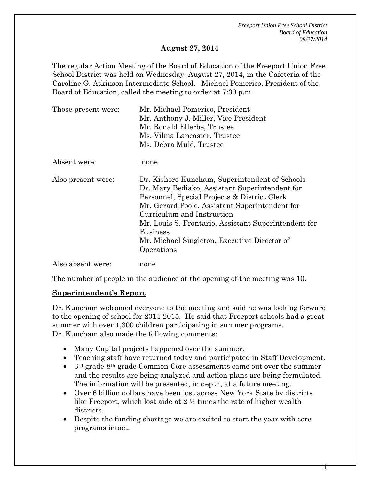*Freeport Union Free School District Board of Education 08/27/2014*

1

#### **August 27, 2014**

The regular Action Meeting of the Board of Education of the Freeport Union Free School District was held on Wednesday, August 27, 2014, in the Cafeteria of the Caroline G. Atkinson Intermediate School. Michael Pomerico, President of the Board of Education, called the meeting to order at 7:30 p.m.

| Those present were: | Mr. Michael Pomerico, President<br>Mr. Anthony J. Miller, Vice President<br>Mr. Ronald Ellerbe, Trustee<br>Ms. Vilma Lancaster, Trustee<br>Ms. Debra Mulé, Trustee                                                                                                                                                                                                        |
|---------------------|---------------------------------------------------------------------------------------------------------------------------------------------------------------------------------------------------------------------------------------------------------------------------------------------------------------------------------------------------------------------------|
| Absent were:        | none                                                                                                                                                                                                                                                                                                                                                                      |
| Also present were:  | Dr. Kishore Kuncham, Superintendent of Schools<br>Dr. Mary Bediako, Assistant Superintendent for<br>Personnel, Special Projects & District Clerk<br>Mr. Gerard Poole, Assistant Superintendent for<br>Curriculum and Instruction<br>Mr. Louis S. Frontario. Assistant Superintendent for<br><b>Business</b><br>Mr. Michael Singleton, Executive Director of<br>Operations |
| Also absent were:   | none                                                                                                                                                                                                                                                                                                                                                                      |

The number of people in the audience at the opening of the meeting was 10.

#### **Superintendent's Report**

Dr. Kuncham welcomed everyone to the meeting and said he was looking forward to the opening of school for 2014-2015. He said that Freeport schools had a great summer with over 1,300 children participating in summer programs. Dr. Kuncham also made the following comments:

- Many Capital projects happened over the summer.
- Teaching staff have returned today and participated in Staff Development.
- 3rd grade-8th grade Common Core assessments came out over the summer and the results are being analyzed and action plans are being formulated. The information will be presented, in depth, at a future meeting.
- Over 6 billion dollars have been lost across New York State by districts like Freeport, which lost aide at  $2 \frac{1}{2}$  times the rate of higher wealth districts.
- Despite the funding shortage we are excited to start the year with core programs intact.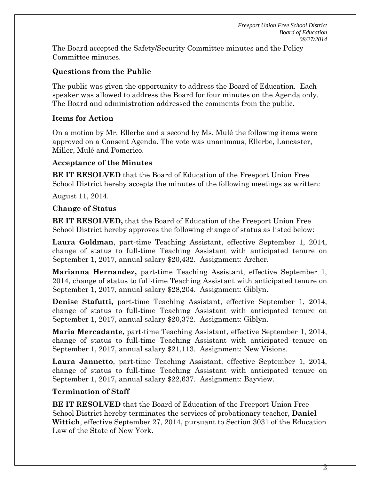The Board accepted the Safety/Security Committee minutes and the Policy Committee minutes.

### **Questions from the Public**

The public was given the opportunity to address the Board of Education. Each speaker was allowed to address the Board for four minutes on the Agenda only. The Board and administration addressed the comments from the public.

### **Items for Action**

On a motion by Mr. Ellerbe and a second by Ms. Mulé the following items were approved on a Consent Agenda. The vote was unanimous, Ellerbe, Lancaster, Miller, Mulé and Pomerico.

### **Acceptance of the Minutes**

**BE IT RESOLVED** that the Board of Education of the Freeport Union Free School District hereby accepts the minutes of the following meetings as written:

August 11, 2014.

#### **Change of Status**

**BE IT RESOLVED,** that the Board of Education of the Freeport Union Free School District hereby approves the following change of status as listed below:

**Laura Goldman**, part-time Teaching Assistant, effective September 1, 2014, change of status to full-time Teaching Assistant with anticipated tenure on September 1, 2017, annual salary \$20,432. Assignment: Archer.

**Marianna Hernandez,** part-time Teaching Assistant, effective September 1, 2014, change of status to full-time Teaching Assistant with anticipated tenure on September 1, 2017, annual salary \$28,204. Assignment: Giblyn.

**Denise Stafutti,** part-time Teaching Assistant, effective September 1, 2014, change of status to full-time Teaching Assistant with anticipated tenure on September 1, 2017, annual salary \$20,372. Assignment: Giblyn.

**Maria Mercadante,** part-time Teaching Assistant, effective September 1, 2014, change of status to full-time Teaching Assistant with anticipated tenure on September 1, 2017, annual salary \$21,113. Assignment: New Visions.

**Laura Jannetto**, part-time Teaching Assistant, effective September 1, 2014, change of status to full-time Teaching Assistant with anticipated tenure on September 1, 2017, annual salary \$22,637. Assignment: Bayview.

### **Termination of Staff**

**BE IT RESOLVED** that the Board of Education of the Freeport Union Free School District hereby terminates the services of probationary teacher, **Daniel Wittich**, effective September 27, 2014, pursuant to Section 3031 of the Education Law of the State of New York.

2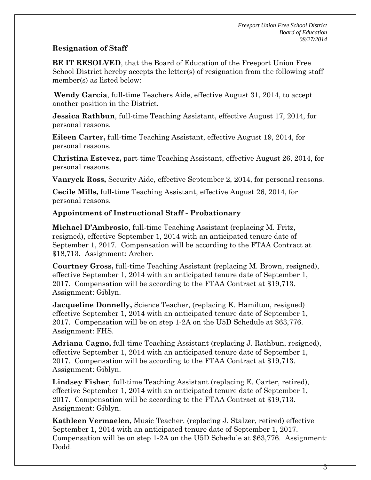# **Resignation of Staff**

**BE IT RESOLVED**, that the Board of Education of the Freeport Union Free School District hereby accepts the letter(s) of resignation from the following staff member(s) as listed below:

**Wendy Garcia**, full-time Teachers Aide, effective August 31, 2014, to accept another position in the District.

**Jessica Rathbun**, full-time Teaching Assistant, effective August 17, 2014, for personal reasons.

**Eileen Carter,** full-time Teaching Assistant, effective August 19, 2014, for personal reasons.

**Christina Estevez,** part-time Teaching Assistant, effective August 26, 2014, for personal reasons.

**Vanryck Ross,** Security Aide, effective September 2, 2014, for personal reasons.

**Cecile Mills,** full-time Teaching Assistant, effective August 26, 2014, for personal reasons.

# **Appointment of Instructional Staff - Probationary**

**Michael D'Ambrosio**, full-time Teaching Assistant (replacing M. Fritz, resigned), effective September 1, 2014 with an anticipated tenure date of September 1, 2017. Compensation will be according to the FTAA Contract at \$18,713. Assignment: Archer.

**Courtney Gross,** full-time Teaching Assistant (replacing M. Brown, resigned), effective September 1, 2014 with an anticipated tenure date of September 1, 2017. Compensation will be according to the FTAA Contract at \$19,713. Assignment: Giblyn.

**Jacqueline Donnelly,** Science Teacher, (replacing K. Hamilton, resigned) effective September 1, 2014 with an anticipated tenure date of September 1, 2017. Compensation will be on step 1-2A on the U5D Schedule at \$63,776. Assignment: FHS.

**Adriana Cagno,** full-time Teaching Assistant (replacing J. Rathbun, resigned), effective September 1, 2014 with an anticipated tenure date of September 1, 2017. Compensation will be according to the FTAA Contract at \$19,713. Assignment: Giblyn.

**Lindsey Fisher**, full-time Teaching Assistant (replacing E. Carter, retired), effective September 1, 2014 with an anticipated tenure date of September 1, 2017. Compensation will be according to the FTAA Contract at \$19,713. Assignment: Giblyn.

**Kathleen Vermaelen,** Music Teacher, (replacing J. Stalzer, retired) effective September 1, 2014 with an anticipated tenure date of September 1, 2017. Compensation will be on step 1-2A on the U5D Schedule at \$63,776. Assignment: Dodd.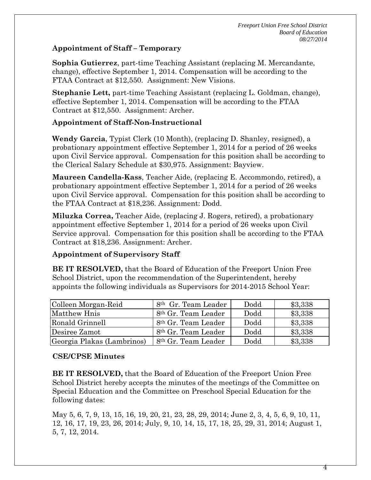### **Appointment of Staff – Temporary**

**Sophia Gutierrez**, part-time Teaching Assistant (replacing M. Mercandante, change), effective September 1, 2014. Compensation will be according to the FTAA Contract at \$12,550. Assignment: New Visions.

**Stephanie Lett,** part-time Teaching Assistant (replacing L. Goldman, change), effective September 1, 2014. Compensation will be according to the FTAA Contract at \$12,550. Assignment: Archer.

### **Appointment of Staff-Non-Instructional**

**Wendy Garcia**, Typist Clerk (10 Month), (replacing D. Shanley, resigned), a probationary appointment effective September 1, 2014 for a period of 26 weeks upon Civil Service approval. Compensation for this position shall be according to the Clerical Salary Schedule at \$30,975. Assignment: Bayview.

**Maureen Candella-Kass**, Teacher Aide, (replacing E. Accommondo, retired), a probationary appointment effective September 1, 2014 for a period of 26 weeks upon Civil Service approval. Compensation for this position shall be according to the FTAA Contract at \$18,236. Assignment: Dodd.

**Miluzka Correa,** Teacher Aide, (replacing J. Rogers, retired), a probationary appointment effective September 1, 2014 for a period of 26 weeks upon Civil Service approval. Compensation for this position shall be according to the FTAA Contract at \$18,236. Assignment: Archer.

## **Appointment of Supervisory Staff**

**BE IT RESOLVED,** that the Board of Education of the Freeport Union Free School District, upon the recommendation of the Superintendent, hereby appoints the following individuals as Supervisors for 2014-2015 School Year:

| Colleen Morgan-Reid        | 8 <sup>th</sup> Gr. Team Leader | Dodd | \$3,338 |
|----------------------------|---------------------------------|------|---------|
| Matthew Hnis               | 8 <sup>th</sup> Gr. Team Leader | Dodd | \$3,338 |
| Ronald Grinnell            | 8 <sup>th</sup> Gr. Team Leader | Dodd | \$3,338 |
| Desiree Zamot              | 8 <sup>th</sup> Gr. Team Leader | Dodd | \$3,338 |
| Georgia Plakas (Lambrinos) | 8 <sup>th</sup> Gr. Team Leader | Dodd | \$3,338 |

## **CSE/CPSE Minutes**

**BE IT RESOLVED,** that the Board of Education of the Freeport Union Free School District hereby accepts the minutes of the meetings of the Committee on Special Education and the Committee on Preschool Special Education for the following dates:

May 5, 6, 7, 9, 13, 15, 16, 19, 20, 21, 23, 28, 29, 2014; June 2, 3, 4, 5, 6, 9, 10, 11, 12, 16, 17, 19, 23, 26, 2014; July, 9, 10, 14, 15, 17, 18, 25, 29, 31, 2014; August 1, 5, 7, 12, 2014.

4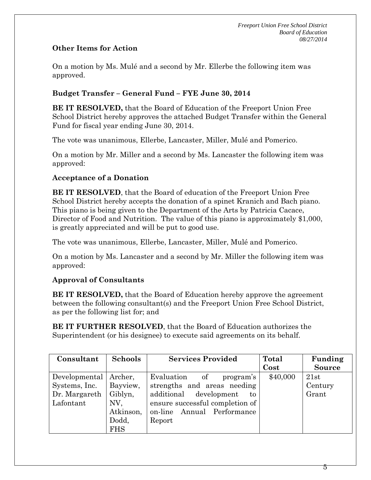## **Other Items for Action**

On a motion by Ms. Mulé and a second by Mr. Ellerbe the following item was approved.

# **Budget Transfer – General Fund – FYE June 30, 2014**

**BE IT RESOLVED,** that the Board of Education of the Freeport Union Free School District hereby approves the attached Budget Transfer within the General Fund for fiscal year ending June 30, 2014.

The vote was unanimous, Ellerbe, Lancaster, Miller, Mulé and Pomerico.

On a motion by Mr. Miller and a second by Ms. Lancaster the following item was approved:

## **Acceptance of a Donation**

**BE IT RESOLVED**, that the Board of education of the Freeport Union Free School District hereby accepts the donation of a spinet Kranich and Bach piano. This piano is being given to the Department of the Arts by Patricia Cacace, Director of Food and Nutrition. The value of this piano is approximately \$1,000, is greatly appreciated and will be put to good use.

The vote was unanimous, Ellerbe, Lancaster, Miller, Mulé and Pomerico.

On a motion by Ms. Lancaster and a second by Mr. Miller the following item was approved:

## **Approval of Consultants**

**BE IT RESOLVED,** that the Board of Education hereby approve the agreement between the following consultant(s) and the Freeport Union Free School District, as per the following list for; and

**BE IT FURTHER RESOLVED**, that the Board of Education authorizes the Superintendent (or his designee) to execute said agreements on its behalf.

| Consultant    | <b>Schools</b> | <b>Services Provided</b>        | Total    | Funding       |
|---------------|----------------|---------------------------------|----------|---------------|
|               |                |                                 | $\cos t$ | <b>Source</b> |
| Developmental | Archer,        | Evaluation<br>of<br>program's   | \$40,000 | 21st          |
| Systems, Inc. | Bayview,       | strengths and areas needing     |          | Century       |
| Dr. Margareth | Giblyn,        | additional<br>development<br>to |          | Grant         |
| Lafontant     | NV.            | ensure successful completion of |          |               |
|               | Atkinson,      | Annual Performance<br>on-line   |          |               |
|               | Dodd,          | Report                          |          |               |
|               | <b>FHS</b>     |                                 |          |               |

 $5\overline{ }$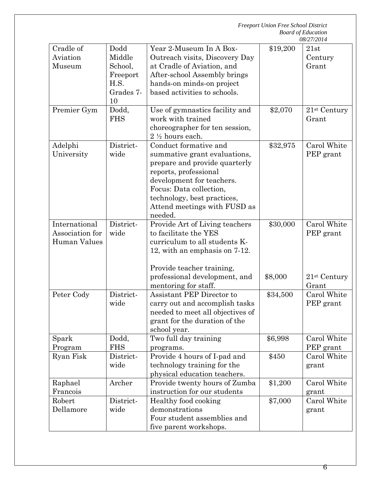|                                                  | <b>Freeport Union Free School District</b><br><b>Board of Education</b><br>08/27/2014 |                                                                                                                                                                                                                                                   |          |                                   |
|--------------------------------------------------|---------------------------------------------------------------------------------------|---------------------------------------------------------------------------------------------------------------------------------------------------------------------------------------------------------------------------------------------------|----------|-----------------------------------|
| Cradle of<br>Aviation<br>Museum                  | Dodd<br>Middle<br>School,<br>Freeport<br>H.S.<br>Grades 7-<br>10                      | Year 2-Museum In A Box-<br>Outreach visits, Discovery Day<br>at Cradle of Aviation, and<br>After-school Assembly brings<br>hands-on minds-on project<br>based activities to schools.                                                              | \$19,200 | 21st<br>Century<br>Grant          |
| Premier Gym                                      | Dodd,<br><b>FHS</b>                                                                   | Use of gymnastics facility and<br>work with trained<br>choreographer for ten session,<br>$2\frac{1}{2}$ hours each.                                                                                                                               | \$2,070  | 21 <sup>st</sup> Century<br>Grant |
| Adelphi<br>University                            | District-<br>wide                                                                     | Conduct formative and<br>summative grant evaluations,<br>prepare and provide quarterly<br>reports, professional<br>development for teachers.<br>Focus: Data collection,<br>technology, best practices,<br>Attend meetings with FUSD as<br>needed. | \$32,975 | Carol White<br>PEP grant          |
| International<br>Association for<br>Human Values | District-<br>wide                                                                     | Provide Art of Living teachers<br>to facilitate the YES<br>curriculum to all students K-<br>12, with an emphasis on 7-12.                                                                                                                         | \$30,000 | Carol White<br>PEP grant          |
|                                                  |                                                                                       | Provide teacher training,<br>professional development, and<br>mentoring for staff.                                                                                                                                                                | \$8,000  | 21 <sup>st</sup> Century<br>Grant |
| Peter Cody                                       | District-<br>wide                                                                     | Assistant PEP Director to<br>carry out and accomplish tasks<br>needed to meet all objectives of<br>grant for the duration of the<br>school year.                                                                                                  | \$34,500 | Carol White<br>PEP grant          |
| Spark<br>Program                                 | Dodd,<br><b>FHS</b>                                                                   | Two full day training<br>programs.                                                                                                                                                                                                                | \$6,998  | Carol White<br>PEP grant          |
| Ryan Fisk                                        | District-<br>wide                                                                     | Provide 4 hours of I-pad and<br>technology training for the<br>physical education teachers.                                                                                                                                                       | \$450    | Carol White<br>grant              |
| Raphael<br>Francois                              | Archer                                                                                | Provide twenty hours of Zumba<br>instruction for our students                                                                                                                                                                                     | \$1,200  | Carol White<br>grant              |
| Robert<br>Dellamore                              | District-<br>wide                                                                     | Healthy food cooking<br>demonstrations<br>Four student assemblies and<br>five parent workshops.                                                                                                                                                   | \$7,000  | Carol White<br>grant              |

6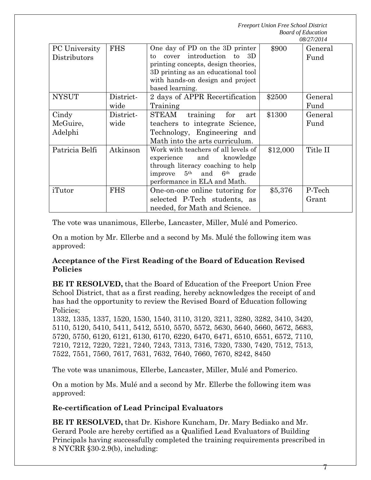*Freeport Union Free School District Board of Education*

|                               |                   |                                                                                                                                                                                                                |          | 08/27/2014      |
|-------------------------------|-------------------|----------------------------------------------------------------------------------------------------------------------------------------------------------------------------------------------------------------|----------|-----------------|
| PC University<br>Distributors | <b>FHS</b>        | One day of PD on the 3D printer<br>introduction<br>3D<br>cover<br>to<br>to<br>printing concepts, design theories,<br>3D printing as an educational tool<br>with hands-on design and project<br>based learning. | \$900    | General<br>Fund |
| <b>NYSUT</b>                  | District-<br>wide | 2 days of APPR Recertification<br>Training                                                                                                                                                                     | \$2500   | General<br>Fund |
| Cindy<br>McGuire,<br>Adelphi  | District-<br>wide | STEAM<br>for<br>training<br>art<br>teachers to integrate Science,<br>Technology, Engineering and<br>Math into the arts curriculum.                                                                             | \$1300   | General<br>Fund |
| Patricia Belfi                | Atkinson          | Work with teachers of all levels of<br>and<br>knowledge<br>experience<br>through literacy coaching to help<br>$5^{\text{th}}$ and $6^{\text{th}}$<br>improve<br>grade<br>performance in ELA and Math.          | \$12,000 | Title II        |
| iTutor                        | <b>FHS</b>        | One-on-one online tutoring for<br>selected P-Tech students, as<br>needed, for Math and Science.                                                                                                                | \$5,376  | P-Tech<br>Grant |

The vote was unanimous, Ellerbe, Lancaster, Miller, Mulé and Pomerico.

On a motion by Mr. Ellerbe and a second by Ms. Mulé the following item was approved:

### **Acceptance of the First Reading of the Board of Education Revised Policies**

**BE IT RESOLVED,** that the Board of Education of the Freeport Union Free School District, that as a first reading, hereby acknowledges the receipt of and has had the opportunity to review the Revised Board of Education following Policies;

1332, 1335, 1337, 1520, 1530, 1540, 3110, 3120, 3211, 3280, 3282, 3410, 3420, 5110, 5120, 5410, 5411, 5412, 5510, 5570, 5572, 5630, 5640, 5660, 5672, 5683, 5720, 5750, 6120, 6121, 6130, 6170, 6220, 6470, 6471, 6510, 6551, 6572, 7110, 7210, 7212, 7220, 7221, 7240, 7243, 7313, 7316, 7320, 7330, 7420, 7512, 7513, 7522, 7551, 7560, 7617, 7631, 7632, 7640, 7660, 7670, 8242, 8450

The vote was unanimous, Ellerbe, Lancaster, Miller, Mulé and Pomerico.

On a motion by Ms. Mulé and a second by Mr. Ellerbe the following item was approved:

## **Re-certification of Lead Principal Evaluators**

**BE IT RESOLVED,** that Dr. Kishore Kuncham, Dr. Mary Bediako and Mr. Gerard Poole are hereby certified as a Qualified Lead Evaluators of Building Principals having successfully completed the training requirements prescribed in 8 NYCRR §30-2.9(b), including: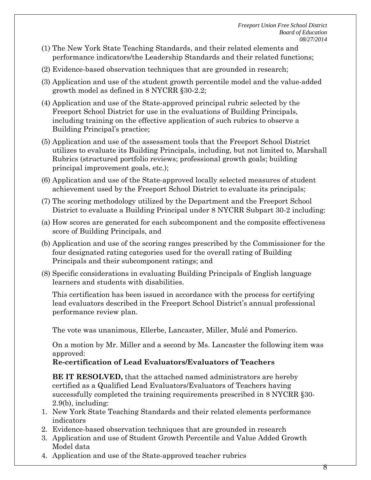- (1) The New York State Teaching Standards, and their related elements and performance indicators/the Leadership Standards and their related functions;
- (2) Evidence-based observation techniques that are grounded in research;
- (3) Application and use of the student growth percentile model and the value-added growth model as defined in 8 NYCRR §30-2.2;
- (4) Application and use of the State-approved principal rubric selected by the Freeport School District for use in the evaluations of Building Principals, including training on the effective application of such rubrics to observe a Building Principal's practice;
- (5) Application and use of the assessment tools that the Freeport School District utilizes to evaluate its Building Principals, including, but not limited to, Marshall Rubrics (structured portfolio reviews; professional growth goals; building principal improvement goals, etc.);
- (6) Application and use of the State-approved locally selected measures of student achievement used by the Freeport School District to evaluate its principals;
- (7) The scoring methodology utilized by the Department and the Freeport School District to evaluate a Building Principal under 8 NYCRR Subpart 30-2 including:
- (a) How scores are generated for each subcomponent and the composite effectiveness score of Building Principals, and
- (b) Application and use of the scoring ranges prescribed by the Commissioner for the four designated rating categories used for the overall rating of Building Principals and their subcomponent ratings; and
- (8) Specific considerations in evaluating Building Principals of English language learners and students with disabilities.

This certification has been issued in accordance with the process for certifying lead evaluators described in the Freeport School District's annual professional performance review plan.

The vote was unanimous, Ellerbe, Lancaster, Miller, Mulé and Pomerico.

On a motion by Mr. Miller and a second by Ms. Lancaster the following item was approved:

## **Re-certification of Lead Evaluators/Evaluators of Teachers**

**BE IT RESOLVED,** that the attached named administrators are hereby certified as a Qualified Lead Evaluators/Evaluators of Teachers having successfully completed the training requirements prescribed in 8 NYCRR §30- 2.9(b), including:

- 1. New York State Teaching Standards and their related elements performance indicators
- 2. Evidence-based observation techniques that are grounded in research
- 3. Application and use of Student Growth Percentile and Value Added Growth Model data
- 4. Application and use of the State-approved teacher rubrics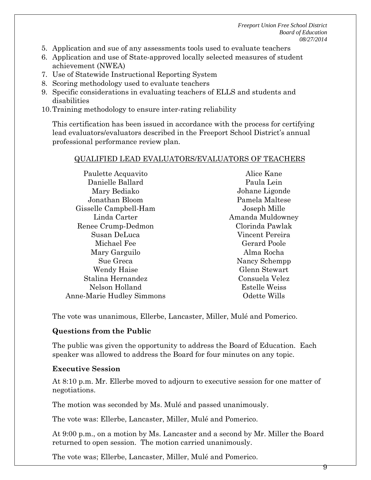*Freeport Union Free School District Board of Education 08/27/2014*

- 5. Application and sue of any assessments tools used to evaluate teachers
- 6. Application and use of State-approved locally selected measures of student achievement (NWEA)
- 7. Use of Statewide Instructional Reporting System
- 8. Scoring methodology used to evaluate teachers
- 9. Specific considerations in evaluating teachers of ELLS and students and disabilities
- 10.Training methodology to ensure inter-rating reliability

This certification has been issued in accordance with the process for certifying lead evaluators/evaluators described in the Freeport School District's annual professional performance review plan.

#### QUALIFIED LEAD EVALUATORS/EVALUATORS OF TEACHERS

Paulette Acquavito Danielle Ballard Mary Bediako Jonathan Bloom Gisselle Campbell-Ham Linda Carter Renee Crump-Dedmon Susan DeLuca Michael Fee Mary Garguilo Sue Greca Wendy Haise Stalina Hernandez Nelson Holland Anne-Marie Hudley Simmons Alice Kane Paula Lein Johane Ligonde Pamela Maltese Joseph Mille Amanda Muldowney Clorinda Pawlak Vincent Pereira Gerard Poole Alma Rocha Nancy Schempp Glenn Stewart Consuela Velez Estelle Weiss Odette Wills

The vote was unanimous, Ellerbe, Lancaster, Miller, Mulé and Pomerico.

### **Questions from the Public**

The public was given the opportunity to address the Board of Education. Each speaker was allowed to address the Board for four minutes on any topic.

### **Executive Session**

At 8:10 p.m. Mr. Ellerbe moved to adjourn to executive session for one matter of negotiations.

The motion was seconded by Ms. Mulé and passed unanimously.

The vote was: Ellerbe, Lancaster, Miller, Mulé and Pomerico.

At 9:00 p.m., on a motion by Ms. Lancaster and a second by Mr. Miller the Board returned to open session. The motion carried unanimously.

The vote was; Ellerbe, Lancaster, Miller, Mulé and Pomerico.